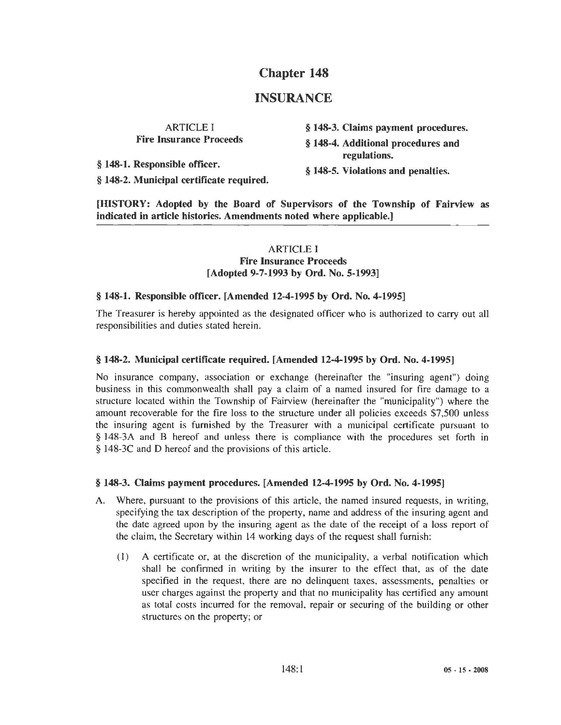# **Chapter 148**

# **INSURANCE**

ARTICLE I **Fire Insurance Proceeds** 

§ **148-1. Responsible officer.** 

§ **148-3. Claims payment procedures.** 

§ **148-4. Additional procedures and regulations.** 

§ **148-5. Violations and penalties.** 

§ **148-2. Municipal certificate required.** 

**[HISTORY: Adopted by the Board of Supervisors of the Township of Fairview as indicated in article histories. Amendments noted where applicable.]** 

# ARTICLE I **Fire Insurance Proceeds [Adopted 9-7-1993 by Ord. No. 5-1993]**

# § **148-1. Responsible officer. [Amended 12-4-1995 by Ord. No. 4-1995]**

The Treasurer is hereby appointed as the designated officer who is authorized to carry out all responsibilities and duties stated herein.

### § **148-2. Municipal certificate required. [Amended 12-4-1995 by Ord. No. 4-1995)**

No insurance company, association or exchange (hereinafter the "insuring agent") doing business in this commonwealth shall pay a claim of a named insured for fire damage to a structure located within the Township of Fairview (hereinafter the "municipality") where the amount recoverable for the fire loss to the structure under all policies exceeds \$7,500 unless the insuring agent is furnished by the Treasurer with a municipal certificate pursuant to § 148-3A and B hereof and unless there is compliance with the procedures set forth in § 148-3C and D hereof and the provisions of this article.

# § **148-3. Claims payment procedures. [Amended 12-4-1995 by Ord. No. 4-1995]**

- A. Where, pursuant to the provisions of this article, the named insured requests, in writing, specifying the tax description of the property, name and address of the insuring agent and the date agreed upon by the insuring agent as the date of the receipt of a loss report of the claim, the Secretary within 14 working days of the request shall furnish:
	- ( 1) A certificate or, at the discretion of the municipality, a verbal notification which shall be confirmed in writing by the insurer to the effect that, as of the date specified in the request, there are no delinquent taxes, assessments, penalties or user charges against the property and that no municipality has certified any amount as total costs incurred for the removal, repair or securing of the building or other structures on the property; or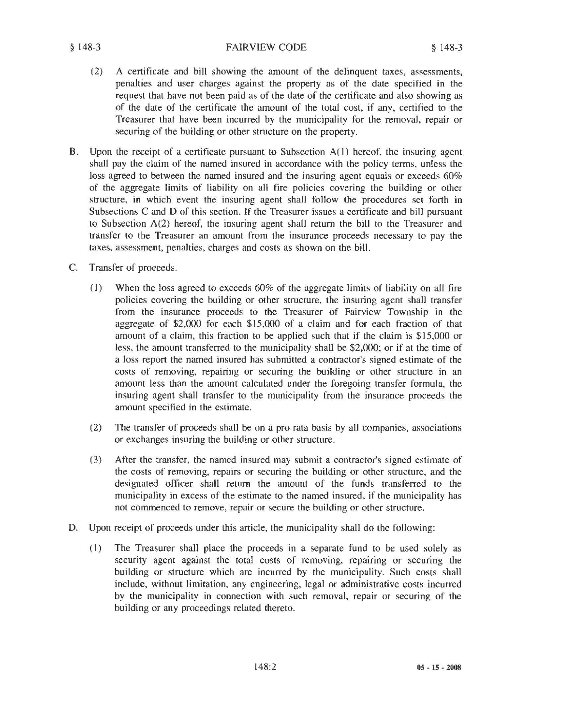#### § 148-3 FAIRVIEW CODE § 148-3

- (2) A certificate and bill showing the amount of the delinquent taxes, assessments, penalties and user charges against the property as of the date specified in the request that have not been paid as of the date of the certificate and also showing as of the date of the certificate the amount of the total cost, if any, certified to the Treasurer that have been incurred by the municipality for the removal, repair or securing of the building or other structure on the property.
- B. Upon the receipt of a certificate pursuant to Subsection A(l) hereof, the insuring agent shall pay the claim of the named insured in accordance with the policy terms, unless the loss agreed to between the named insured and the insuring agent equals or exceeds 60% of the aggregate limits of liability on all fire policies covering the building or other structure, in which event the insuring agent shall follow the procedures set forth in Subsections C and D of this section. If the Treasurer issues a certificate and bill pursuant to Subsection A(2) hereof, the insuring agent shall return the bill to the Treasurer and transfer to the Treasurer an amount from the insurance proceeds necessary to pay the taxes, assessment, penalties, charges and costs as shown on the bill.
- C. Transfer of proceeds.
	- (1) When the loss agreed to exceeds  $60\%$  of the aggregate limits of liability on all fire policies covering the building or other structure, the insuring agent shall transfer from the insurance proceeds to the Treasurer of Fairview Township in the aggregate of \$2,000 for each \$15,000 of a claim and for each fraction of that amount of a claim, this fraction to be applied such that if the claim is \$15,000 or less, the amount transferred to the municipality shall be \$2,000; or if at the time of a loss report the named insured has submitted a contractor's signed estimate of the costs of removing, repairing or securing the building or other structure in an amount less than the amount calculated under the foregoing transfer formula, the insuring agent shall transfer to the municipality from the insurance proceeds the amount specified in the estimate.
	- (2) The transfer of proceeds shall be on a pro rata basis by all companies, associations or exchanges insuring the building or other structure.
	- (3) After the transfer, the named insured may submit a contractor's signed estimate of the costs of removing, repairs or securing the building or other structure, and the designated officer shall return the amount of the funds transferred to the municipality in excess of the estimate to the named insured, if the municipality has not commenced to remove, repair or secure the building or other structure.
- D. Upon receipt of proceeds under this article, the municipality shall do the following:
	- (I) The Treasurer shall place the proceeds in a separate fund to be used solely as security agent against the total costs of removing, repairing or securing the building or structure which are incurred by the municipality. Such costs shall include, without limitation, any engineering, legal or administrative costs incurred by the municipality in connection with such removal, repair or securing of the building or any proceedings related thereto.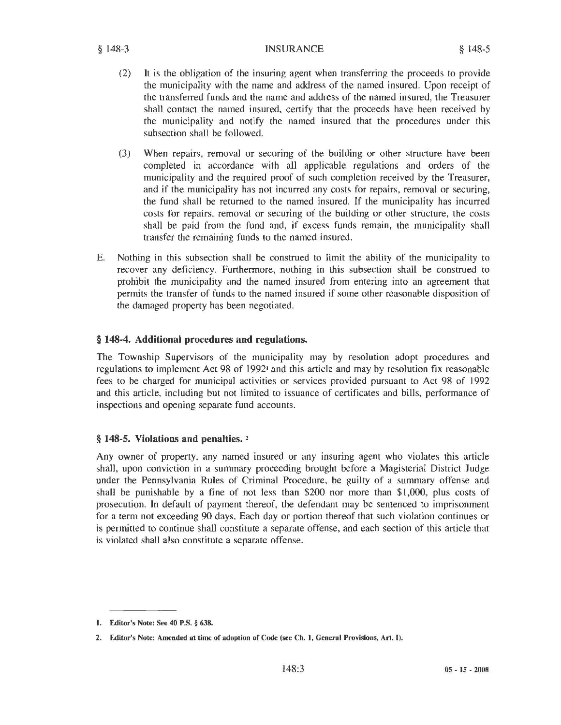- (2) It is the obligation of the insuring agent when transferring the proceeds to provide the municipality with the name and address of the named insured. Upon receipt of the transferred funds and the name and address of the named insured, the Treasurer shall contact the named insured, certify that the proceeds have been received by the municipality and notify the named insured that the procedures under this subsection shall be followed.
- (3) When repairs, removal or securing of the building or other structure have been completed in accordance with all applicable regulations and orders of the municipality and the required proof of such completion received by the Treasurer, and if the municipality has not incurred any costs for repairs, removal or securing, the fund shall be returned to the named insured. If the municipality has incurred costs for repairs, removal or securing of the building or other structure, the costs shall be paid from the fund and, if excess funds remain, the municipality shall transfer the remaining funds to the named insured.
- E. Nothing in this subsection shall be construed to limit the ability of the municipality to recover any deficiency. Furthermore, nothing in this subsection shall be construed to prohibit the municipality and the named insured from entering into an agreement that permits the transfer of funds to the named insured if some other reasonable disposition of the damaged property has been negotiated.

# § **148-4. Additional procedures and regulations.**

The Township Supervisors of the municipality may by resolution adopt procedures and regulations to implement Act 98 of 1992<sup>1</sup> and this article and may by resolution fix reasonable fees to be charged for municipal activities or services provided pursuant to Act 98 of 1992 and this article, including but not limited to issuance of certificates and bills, performance of inspections and opening separate fund accounts.

# § **148-5. Violations and penalties.** <sup>2</sup>

Any owner of property, any named insured or any insuring agent who violates this article shall, upon conviction in a summary proceeding brought before a Magisterial District Judge under the Pennsylvania Rules of Criminal Procedure, be guilty of a summary offense and shall be punishable by a fine of not less than \$200 nor more than \$1,000, plus costs of prosecution. In default of payment thereof, the defendant may be sentenced to imprisonment for a term not exceeding 90 days. Each day or portion thereof that such violation continues or is permitted to continue shall constitute a separate offense, and each section of this article that is violated shall also constitute a separate offense.

**<sup>1.</sup>** Editor's Note: See 40 P.S. § 638.

<sup>2.</sup> Editor's Note: Amended at time of adoption of Code (see Ch. 1, General Provisions, Art. I).